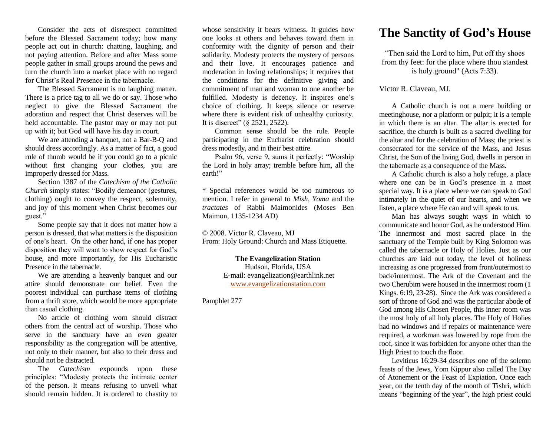Consider the acts of disrespect committed before the Blessed Sacrament today; how many people act out in church: chatting, laughing, and not paying attention. Before and after Mass some people gather in small groups around the pews and turn the church into a market place with no regard for Christ's Real Presence in the tabernacle.

The Blessed Sacrament is no laughing matter. There is a price tag to all we do or say. Those who neglect to give the Blessed Sacrament the adoration and respect that Christ deserves will be held accountable. The pastor may or may not put up with it; but God will have his day in court.

We are attending a banquet, not a Bar-B-Q and should dress accordingly. As a matter of fact, a good rule of thumb would be if you could go to a picnic without first changing your clothes, you are improperly dressed for Mass.

Section 1387 of the *Catechism of the Catholic Church* simply states: "Bodily demeanor (gestures, clothing) ought to convey the respect, solemnity, and joy of this moment when Christ becomes our guest."

Some people say that it does not matter how a person is dressed, that what matters is the disposition of one's heart. On the other hand, if one has proper disposition they will want to show respect for God's house, and more importantly, for His Eucharistic Presence in the tabernacle.

We are attending a heavenly banquet and our attire should demonstrate our belief. Even the poorest individual can purchase items of clothing from a thrift store, which would be more appropriate than casual clothing.

No article of clothing worn should distract others from the central act of worship. Those who serve in the sanctuary have an even greater responsibility as the congregation will be attentive, not only to their manner, but also to their dress and should not be distracted.

The *Catechism* expounds upon these principles: "Modesty protects the intimate center of the person. It means refusing to unveil what should remain hidden. It is ordered to chastity to

whose sensitivity it bears witness. It guides how one looks at others and behaves toward them in conformity with the dignity of person and their solidarity. Modesty protects the mystery of persons and their love. It encourages patience and moderation in loving relationships; it requires that the conditions for the definitive giving and commitment of man and woman to one another be fulfilled. Modesty is decency. It inspires one's choice of clothing. It keeps silence or reserve where there is evident risk of unhealthy curiosity. It is discreet" (§ 2521, 2522).

Common sense should be the rule. People participating in the Eucharist celebration should dress modestly, and in their best attire.

Psalm 96, verse 9, sums it perfectly: "Worship the Lord in holy array; tremble before him, all the earth!"

\* Special references would be too numerous to mention. I refer in general to *Mish, Yoma* and the *tractates* of Rabbi Maimonides (Moses Ben Maimon, 1135-1234 AD)

© 2008. Victor R. Claveau, MJ From: Holy Ground: Church and Mass Etiquette.

> **The Evangelization Station** Hudson, Florida, USA E-mail: evangelization@earthlink.net [www.evangelizationstation.com](http://www.pjpiisoe.org/)

Pamphlet 277

## **The Sanctity of God's House**

"Then said the Lord to him, Put off thy shoes from thy feet: for the place where thou standest is holy ground" (Acts 7:33).

## Victor R. Claveau, MJ.

A Catholic church is not a mere building or meetinghouse, nor a platform or pulpit; it is a temple in which there is an altar. The altar is erected for sacrifice, the church is built as a sacred dwelling for the altar and for the celebration of Mass; the priest is consecrated for the service of the Mass, and Jesus Christ, the Son of the living God, dwells in person in the tabernacle as a consequence of the Mass.

A Catholic church is also a holy refuge, a place where one can be in God's presence in a most special way. It is a place where we can speak to God intimately in the quiet of our hearts, and when we listen, a place where He can and will speak to us.

Man has always sought ways in which to communicate and honor God, as he understood Him. The innermost and most sacred place in the sanctuary of the Temple built by King Solomon was called the tabernacle or Holy of Holies. Just as our churches are laid out today, the level of holiness increasing as one progressed from front/outermost to back/innermost. The Ark of the Covenant and the two Cherubim were housed in the innermost room (1 Kings. 6:19, 23-28). Since the Ark was considered a sort of throne of God and was the particular abode of God among His Chosen People, this inner room was the most holy of all holy places. The Holy of Holies had no windows and if repairs or maintenance were required, a workman was lowered by rope from the roof, since it was forbidden for anyone other than the High Priest to touch the floor.

Leviticus 16:29-34 describes one of the solemn feasts of the Jews, Yom Kippur also called The Day of Atonement or the Feast of Expiation. Once each year, on the tenth day of the month of Tishri, which means "beginning of the year", the high priest could